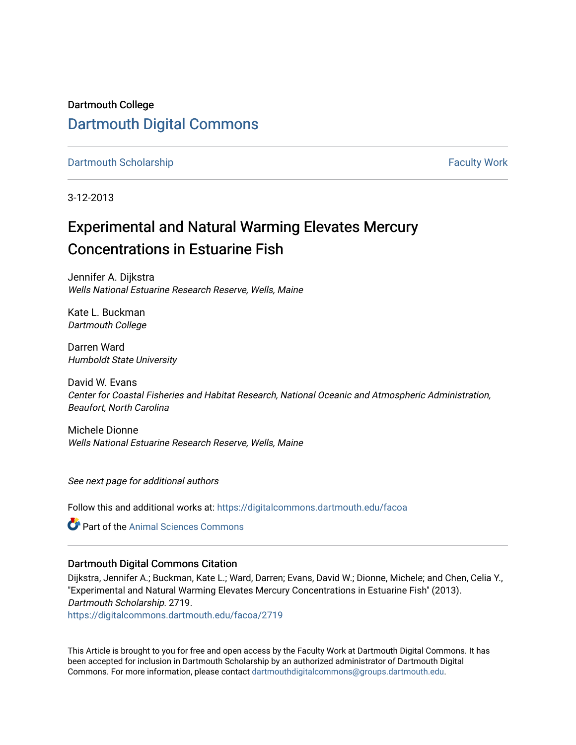Dartmouth College [Dartmouth Digital Commons](https://digitalcommons.dartmouth.edu/) 

[Dartmouth Scholarship](https://digitalcommons.dartmouth.edu/facoa) [Faculty Work](https://digitalcommons.dartmouth.edu/faculty) and The Basic Scholarship Faculty Work Faculty Work

3-12-2013

# Experimental and Natural Warming Elevates Mercury Concentrations in Estuarine Fish

Jennifer A. Dijkstra Wells National Estuarine Research Reserve, Wells, Maine

Kate L. Buckman Dartmouth College

Darren Ward Humboldt State University

David W. Evans Center for Coastal Fisheries and Habitat Research, National Oceanic and Atmospheric Administration, Beaufort, North Carolina

Michele Dionne Wells National Estuarine Research Reserve, Wells, Maine

See next page for additional authors

Follow this and additional works at: [https://digitalcommons.dartmouth.edu/facoa](https://digitalcommons.dartmouth.edu/facoa?utm_source=digitalcommons.dartmouth.edu%2Ffacoa%2F2719&utm_medium=PDF&utm_campaign=PDFCoverPages)

**C** Part of the Animal Sciences Commons

### Dartmouth Digital Commons Citation

Dijkstra, Jennifer A.; Buckman, Kate L.; Ward, Darren; Evans, David W.; Dionne, Michele; and Chen, Celia Y., "Experimental and Natural Warming Elevates Mercury Concentrations in Estuarine Fish" (2013). Dartmouth Scholarship. 2719. [https://digitalcommons.dartmouth.edu/facoa/2719](https://digitalcommons.dartmouth.edu/facoa/2719?utm_source=digitalcommons.dartmouth.edu%2Ffacoa%2F2719&utm_medium=PDF&utm_campaign=PDFCoverPages) 

This Article is brought to you for free and open access by the Faculty Work at Dartmouth Digital Commons. It has been accepted for inclusion in Dartmouth Scholarship by an authorized administrator of Dartmouth Digital Commons. For more information, please contact [dartmouthdigitalcommons@groups.dartmouth.edu](mailto:dartmouthdigitalcommons@groups.dartmouth.edu).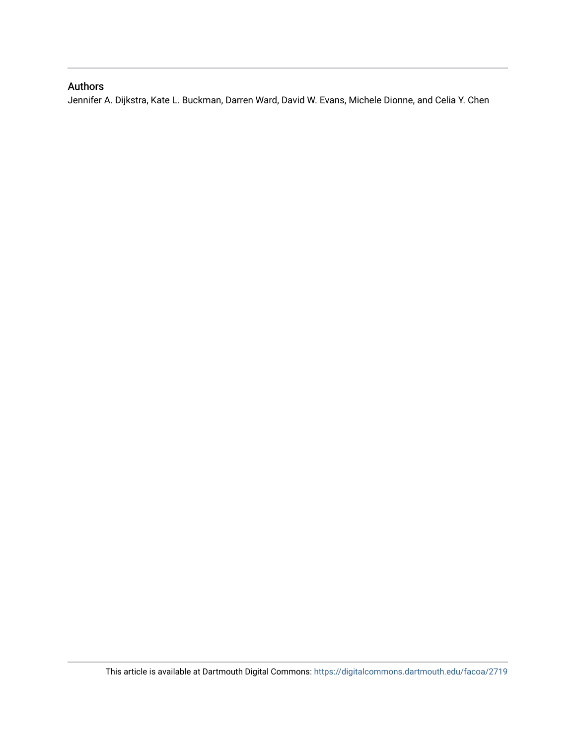## Authors

Jennifer A. Dijkstra, Kate L. Buckman, Darren Ward, David W. Evans, Michele Dionne, and Celia Y. Chen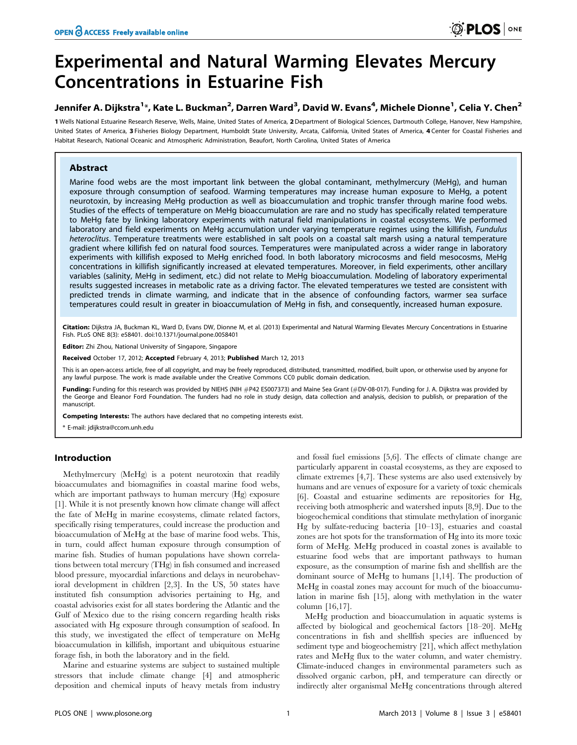# Experimental and Natural Warming Elevates Mercury Concentrations in Estuarine Fish

### Jennifer A. Dijkstra<sup>1</sup>\*, Kate L. Buckman<sup>2</sup>, Darren Ward<sup>3</sup>, David W. Evans<sup>4</sup>, Michele Dionne<sup>1</sup>, Celia Y. Chen<sup>2</sup>

1 Wells National Estuarine Research Reserve, Wells, Maine, United States of America, 2 Department of Biological Sciences, Dartmouth College, Hanover, New Hampshire, United States of America, 3 Fisheries Biology Department, Humboldt State University, Arcata, California, United States of America, 4 Center for Coastal Fisheries and Habitat Research, National Oceanic and Atmospheric Administration, Beaufort, North Carolina, United States of America

#### Abstract

Marine food webs are the most important link between the global contaminant, methylmercury (MeHg), and human exposure through consumption of seafood. Warming temperatures may increase human exposure to MeHg, a potent neurotoxin, by increasing MeHg production as well as bioaccumulation and trophic transfer through marine food webs. Studies of the effects of temperature on MeHg bioaccumulation are rare and no study has specifically related temperature to MeHg fate by linking laboratory experiments with natural field manipulations in coastal ecosystems. We performed laboratory and field experiments on MeHg accumulation under varying temperature regimes using the killifish, Fundulus heteroclitus. Temperature treatments were established in salt pools on a coastal salt marsh using a natural temperature gradient where killifish fed on natural food sources. Temperatures were manipulated across a wider range in laboratory experiments with killifish exposed to MeHg enriched food. In both laboratory microcosms and field mesocosms, MeHg concentrations in killifish significantly increased at elevated temperatures. Moreover, in field experiments, other ancillary variables (salinity, MeHg in sediment, etc.) did not relate to MeHg bioaccumulation. Modeling of laboratory experimental results suggested increases in metabolic rate as a driving factor. The elevated temperatures we tested are consistent with predicted trends in climate warming, and indicate that in the absence of confounding factors, warmer sea surface temperatures could result in greater in bioaccumulation of MeHg in fish, and consequently, increased human exposure.

Citation: Dijkstra JA, Buckman KL, Ward D, Evans DW, Dionne M, et al. (2013) Experimental and Natural Warming Elevates Mercury Concentrations in Estuarine Fish. PLoS ONE 8(3): e58401. doi:10.1371/journal.pone.0058401

Editor: Zhi Zhou, National University of Singapore, Singapore

Received October 17, 2012; Accepted February 4, 2013; Published March 12, 2013

This is an open-access article, free of all copyright, and may be freely reproduced, distributed, transmitted, modified, built upon, or otherwise used by anyone for any lawful purpose. The work is made available under the Creative Commons CC0 public domain dedication.

Funding: Funding for this research was provided by NIEHS (NIH #P42 ES007373) and Maine Sea Grant (#DV-08-017). Funding for J. A. Dijkstra was provided by the George and Eleanor Ford Foundation. The funders had no role in study design, data collection and analysis, decision to publish, or preparation of the manuscript.

Competing Interests: The authors have declared that no competing interests exist.

\* E-mail: jdijkstra@ccom.unh.edu

#### Introduction

Methylmercury (MeHg) is a potent neurotoxin that readily bioaccumulates and biomagnifies in coastal marine food webs, which are important pathways to human mercury (Hg) exposure [1]. While it is not presently known how climate change will affect the fate of MeHg in marine ecosystems, climate related factors, specifically rising temperatures, could increase the production and bioaccumulation of MeHg at the base of marine food webs. This, in turn, could affect human exposure through consumption of marine fish. Studies of human populations have shown correlations between total mercury (THg) in fish consumed and increased blood pressure, myocardial infarctions and delays in neurobehavioral development in children [2,3]. In the US, 50 states have instituted fish consumption advisories pertaining to Hg, and coastal advisories exist for all states bordering the Atlantic and the Gulf of Mexico due to the rising concern regarding health risks associated with Hg exposure through consumption of seafood. In this study, we investigated the effect of temperature on MeHg bioaccumulation in killifish, important and ubiquitous estuarine forage fish, in both the laboratory and in the field.

Marine and estuarine systems are subject to sustained multiple stressors that include climate change [4] and atmospheric deposition and chemical inputs of heavy metals from industry and fossil fuel emissions [5,6]. The effects of climate change are particularly apparent in coastal ecosystems, as they are exposed to climate extremes [4,7]. These systems are also used extensively by humans and are venues of exposure for a variety of toxic chemicals [6]. Coastal and estuarine sediments are repositories for Hg, receiving both atmospheric and watershed inputs [8,9]. Due to the biogeochemical conditions that stimulate methylation of inorganic Hg by sulfate-reducing bacteria [10–13], estuaries and coastal zones are hot spots for the transformation of Hg into its more toxic form of MeHg. MeHg produced in coastal zones is available to estuarine food webs that are important pathways to human exposure, as the consumption of marine fish and shellfish are the dominant source of MeHg to humans [1,14]. The production of MeHg in coastal zones may account for much of the bioaccumulation in marine fish [15], along with methylation in the water column [16,17].

MeHg production and bioaccumulation in aquatic systems is affected by biological and geochemical factors [18–20]. MeHg concentrations in fish and shellfish species are influenced by sediment type and biogeochemistry [21], which affect methylation rates and MeHg flux to the water column, and water chemistry. Climate-induced changes in environmental parameters such as dissolved organic carbon, pH, and temperature can directly or indirectly alter organismal MeHg concentrations through altered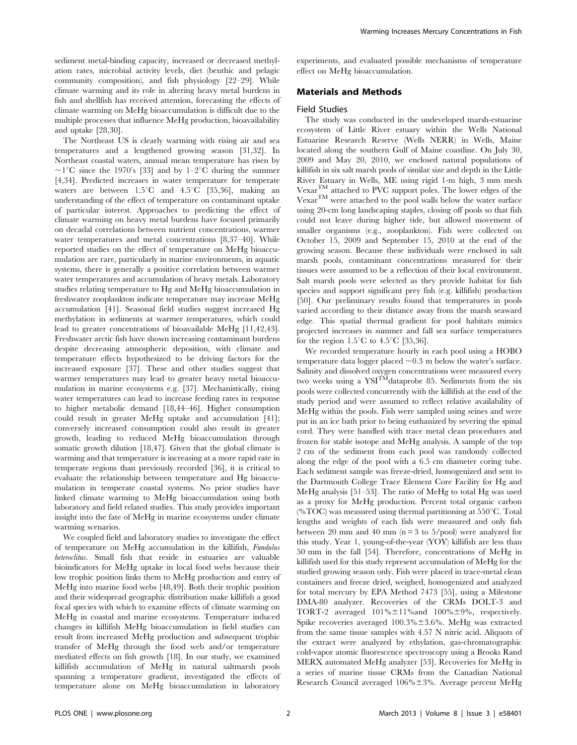sediment metal-binding capacity, increased or decreased methylation rates, microbial activity levels, diet (benthic and pelagic community composition), and fish physiology [22–29]. While climate warming and its role in altering heavy metal burdens in fish and shellfish has received attention, forecasting the effects of climate warming on MeHg bioaccumulation is difficult due to the multiple processes that influence MeHg production, bioavailability and uptake [28,30].

The Northeast US is clearly warming with rising air and sea temperatures and a lengthened growing season [31,32]. In Northeast coastal waters, annual mean temperature has risen by  $\sim$ 1°C since the 1970's [33] and by 1–2°C during the summer [4,34]. Predicted increases in water temperature for temperate waters are between  $1.5^{\circ}$ C and  $4.5^{\circ}$ C [35,36], making an understanding of the effect of temperature on contaminant uptake of particular interest. Approaches to predicting the effect of climate warming on heavy metal burdens have focused primarily on decadal correlations between nutrient concentrations, warmer water temperatures and metal concentrations [8,37–40]. While reported studies on the effect of temperature on MeHg bioaccumulation are rare, particularly in marine environments, in aquatic systems, there is generally a positive correlation between warmer water temperatures and accumulation of heavy metals. Laboratory studies relating temperature to Hg and MeHg bioaccumulation in freshwater zooplankton indicate temperature may increase MeHg accumulation [41]. Seasonal field studies suggest increased Hg methylation in sediments at warmer temperatures, which could lead to greater concentrations of bioavailable MeHg [11,42,43]. Freshwater arctic fish have shown increasing contaminant burdens despite decreasing atmospheric deposition, with climate and temperature effects hypothesized to be driving factors for the increased exposure [37]. These and other studies suggest that warmer temperatures may lead to greater heavy metal bioaccumulation in marine ecosystems e.g. [37]. Mechanistically, rising water temperatures can lead to increase feeding rates in response to higher metabolic demand [18,44–46]. Higher consumption could result in greater MeHg uptake and accumulation [41]; conversely increased consumption could also result in greater growth, leading to reduced MeHg bioaccumulation through somatic growth dilution [18,47]. Given that the global climate is warming and that temperature is increasing at a more rapid rate in temperate regions than previously recorded [36], it is critical to evaluate the relationship between temperature and Hg bioaccumulation in temperate coastal systems. No prior studies have linked climate warming to MeHg bioaccumulation using both laboratory and field related studies. This study provides important insight into the fate of MeHg in marine ecosystems under climate warming scenarios.

We coupled field and laboratory studies to investigate the effect of temperature on MeHg accumulation in the killifish, Fundulus heteroclitus. Small fish that reside in estuaries are valuable bioindicators for MeHg uptake in local food webs because their low trophic position links them to MeHg production and entry of MeHg into marine food webs [48,49]. Both their trophic position and their widespread geographic distribution make killifish a good focal species with which to examine effects of climate warming on MeHg in coastal and marine ecosystems. Temperature induced changes in killifish MeHg bioaccumulation in field studies can result from increased MeHg production and subsequent trophic transfer of MeHg through the food web and/or temperature mediated effects on fish growth [18]. In our study, we examined killifish accumulation of MeHg in natural saltmarsh pools spanning a temperature gradient, investigated the effects of temperature alone on MeHg bioaccumulation in laboratory

experiments, and evaluated possible mechanisms of temperature effect on MeHg bioaccumulation.

#### Materials and Methods

#### Field Studies

The study was conducted in the undeveloped marsh-estuarine ecosystem of Little River estuary within the Wells National Estuarine Research Reserve (Wells NERR) in Wells, Maine located along the southern Gulf of Maine coastline. On July 30, 2009 and May 20, 2010, we enclosed natural populations of killifish in six salt marsh pools of similar size and depth in the Little River Estuary in Wells, ME using rigid 1-m high, 3 mm mesh  $\rm Vexar^{\rm TM}$  attached to PVC support poles. The lower edges of the VexarTM were attached to the pool walls below the water surface using 20-cm long landscaping staples, closing off pools so that fish could not leave during higher tide, but allowed movement of smaller organisms (e.g., zooplankton). Fish were collected on October 15, 2009 and September 15, 2010 at the end of the growing season. Because these individuals were enclosed in salt marsh pools, contaminant concentrations measured for their tissues were assumed to be a reflection of their local environment. Salt marsh pools were selected as they provide habitat for fish species and support significant prey fish (e.g. killifish) production [50]. Our preliminary results found that temperatures in pools varied according to their distance away from the marsh seaward edge. This spatial thermal gradient for pool habitats mimics projected increases in summer and fall sea surface temperatures for the region  $1.5^{\circ}$ C to  $4.5^{\circ}$ C [35,36].

We recorded temperature hourly in each pool using a HOBO temperature data logger placed  $\sim 0.3$  m below the water's surface. Salinity and dissolved oxygen concentrations were measured every two weeks using a  $YSI^{\hat{T}M}$ dataprobe 85. Sediments from the six pools were collected concurrently with the killifish at the end of the study period and were assumed to reflect relative availability of MeHg within the pools. Fish were sampled using seines and were put in an ice bath prior to being euthanized by severing the spinal cord. They were handled with trace metal clean procedures and frozen for stable isotope and MeHg analysis. A sample of the top 2 cm of the sediment from each pool was randomly collected along the edge of the pool with a 6.5 cm diameter coring tube. Each sediment sample was freeze-dried, homogenized and sent to the Dartmouth College Trace Element Core Facility for Hg and MeHg analysis [51–53]. The ratio of MeHg to total Hg was used as a proxy for MeHg production. Percent total organic carbon  $\%TOC$ ) was measured using thermal partitioning at 550 $\degree$ C. Total lengths and weights of each fish were measured and only fish between 20 mm and 40 mm  $(n = 3$  to 5/pool) were analyzed for this study. Year 1, young-of-the-year (YOY) killifish are less than 50 mm in the fall [54]. Therefore, concentrations of MeHg in killifish used for this study represent accumulation of MeHg for the studied growing season only. Fish were placed in trace-metal clean containers and freeze dried, weighed, homogenized and analyzed for total mercury by EPA Method 7473 [55], using a Milestone DMA-80 analyzer. Recoveries of the CRMs DOLT-3 and TORT-2 averaged  $101\% \pm 11\%$  and  $100\% \pm 9\%$ , respectively. Spike recoveries averaged  $100.3\% \pm 3.6\%$ . MeHg was extracted from the same tissue samples with 4.57 N nitric acid. Aliquots of the extract were analyzed by ethylation, gas-chromatographic cold-vapor atomic fluorescence spectroscopy using a Brooks Rand MERX automated MeHg analyzer [53]. Recoveries for MeHg in a series of marine tissue CRMs from the Canadian National Research Council averaged  $106\% \pm 3\%$ . Average percent MeHg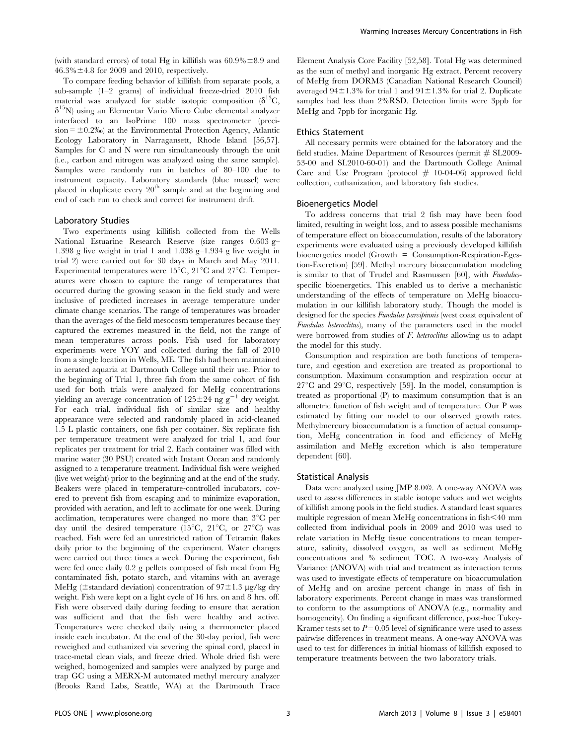(with standard errors) of total Hg in killifish was  $60.9\% \pm 8.9$  and  $46.3\% \pm 4.8$  for 2009 and 2010, respectively.

To compare feeding behavior of killifish from separate pools, a sub-sample (1–2 grams) of individual freeze-dried 2010 fish material was analyzed for stable isotopic composition  $\delta^{13}C$ ,  $\delta^{15}$ N) using an Elementar Vario Micro Cube elemental analyzer interfaced to an IsoPrime 100 mass spectrometer (preci $sion = \pm 0.2\%$ ) at the Environmental Protection Agency, Atlantic Ecology Laboratory in Narragansett, Rhode Island [56,57]. Samples for C and N were run simultaneously through the unit (i.e., carbon and nitrogen was analyzed using the same sample). Samples were randomly run in batches of 80–100 due to instrument capacity. Laboratory standards (blue mussel) were placed in duplicate every  $20<sup>th</sup>$  sample and at the beginning and end of each run to check and correct for instrument drift.

#### Laboratory Studies

Two experiments using killifish collected from the Wells National Estuarine Research Reserve (size ranges 0.603 g– 1.398 g live weight in trial 1 and 1.038 g–1.934 g live weight in trial 2) were carried out for 30 days in March and May 2011. Experimental temperatures were  $15^{\circ}$ C,  $21^{\circ}$ C and  $27^{\circ}$ C. Temperatures were chosen to capture the range of temperatures that occurred during the growing season in the field study and were inclusive of predicted increases in average temperature under climate change scenarios. The range of temperatures was broader than the averages of the field mesocosm temperatures because they captured the extremes measured in the field, not the range of mean temperatures across pools. Fish used for laboratory experiments were YOY and collected during the fall of 2010 from a single location in Wells, ME. The fish had been maintained in aerated aquaria at Dartmouth College until their use. Prior to the beginning of Trial 1, three fish from the same cohort of fish used for both trials were analyzed for MeHg concentrations yielding an average concentration of  $125\pm24$  ng g<sup>-1</sup> dry weight. For each trial, individual fish of similar size and healthy appearance were selected and randomly placed in acid-cleaned 1.5 L plastic containers, one fish per container. Six replicate fish per temperature treatment were analyzed for trial 1, and four replicates per treatment for trial 2. Each container was filled with marine water (30 PSU) created with Instant Ocean and randomly assigned to a temperature treatment. Individual fish were weighed (live wet weight) prior to the beginning and at the end of the study. Beakers were placed in temperature-controlled incubators, covered to prevent fish from escaping and to minimize evaporation, provided with aeration, and left to acclimate for one week. During acclimation, temperatures were changed no more than  $3^{\circ}C$  per day until the desired temperature (15 $^{\circ}$ C, 21 $^{\circ}$ C, or 27 $^{\circ}$ C) was reached. Fish were fed an unrestricted ration of Tetramin flakes daily prior to the beginning of the experiment. Water changes were carried out three times a week. During the experiment, fish were fed once daily 0.2 g pellets composed of fish meal from Hg contaminated fish, potato starch, and vitamins with an average MeHg ( $\pm$ standard deviation) concentration of 97 $\pm$ 1.3 µg/kg dry weight. Fish were kept on a light cycle of 16 hrs. on and 8 hrs. off. Fish were observed daily during feeding to ensure that aeration was sufficient and that the fish were healthy and active. Temperatures were checked daily using a thermometer placed inside each incubator. At the end of the 30-day period, fish were reweighed and euthanized via severing the spinal cord, placed in trace-metal clean vials, and freeze dried. Whole dried fish were weighed, homogenized and samples were analyzed by purge and trap GC using a MERX-M automated methyl mercury analyzer (Brooks Rand Labs, Seattle, WA) at the Dartmouth Trace

Element Analysis Core Facility [52,58]. Total Hg was determined as the sum of methyl and inorganic Hg extract. Percent recovery of MeHg from DORM3 (Canadian National Research Council) averaged  $94\pm1.3$ % for trial 1 and  $91\pm1.3$ % for trial 2. Duplicate samples had less than 2%RSD. Detection limits were 3ppb for MeHg and 7ppb for inorganic Hg.

#### Ethics Statement

All necessary permits were obtained for the laboratory and the field studies. Maine Department of Resources (permit # SL2009-53-00 and SL2010-60-01) and the Dartmouth College Animal Care and Use Program (protocol  $# 10-04-06$ ) approved field collection, euthanization, and laboratory fish studies.

#### Bioenergetics Model

To address concerns that trial 2 fish may have been food limited, resulting in weight loss, and to assess possible mechanisms of temperature effect on bioaccumulation, results of the laboratory experiments were evaluated using a previously developed killifish bioenergetics model (Growth = Consumption-Respiration-Egestion-Excretion) [59]. Methyl mercury bioaccumulation modeling is similar to that of Trudel and Rasmussen [60], with Fundulusspecific bioenergetics. This enabled us to derive a mechanistic understanding of the effects of temperature on MeHg bioaccumulation in our killifish laboratory study. Though the model is designed for the species *Fundulus parvipinnis* (west coast equivalent of Fundulus heteroclitus), many of the parameters used in the model were borrowed from studies of F. heteroclitus allowing us to adapt the model for this study.

Consumption and respiration are both functions of temperature, and egestion and excretion are treated as proportional to consumption. Maximum consumption and respiration occur at  $27^{\circ}$ C and  $29^{\circ}$ C, respectively [59]. In the model, consumption is treated as proportional (P) to maximum consumption that is an allometric function of fish weight and of temperature. Our P was estimated by fitting our model to our observed growth rates. Methylmercury bioaccumulation is a function of actual consumption, MeHg concentration in food and efficiency of MeHg assimilation and MeHg excretion which is also temperature dependent [60].

#### Statistical Analysis

Data were analyzed using JMP 8.0©. A one-way ANOVA was used to assess differences in stable isotope values and wet weights of killifish among pools in the field studies. A standard least squares multiple regression of mean MeHg concentrations in  $fish < 40$  mm collected from individual pools in 2009 and 2010 was used to relate variation in MeHg tissue concentrations to mean temperature, salinity, dissolved oxygen, as well as sediment MeHg concentrations and % sediment TOC. A two-way Analysis of Variance (ANOVA) with trial and treatment as interaction terms was used to investigate effects of temperature on bioaccumulation of MeHg and on arcsine percent change in mass of fish in laboratory experiments. Percent change in mass was transformed to conform to the assumptions of ANOVA (e.g., normality and homogeneity). On finding a significant difference, post-hoc Tukey-Kramer tests set to  $P = 0.05$  level of significance were used to assess pairwise differences in treatment means. A one-way ANOVA was used to test for differences in initial biomass of killifish exposed to temperature treatments between the two laboratory trials.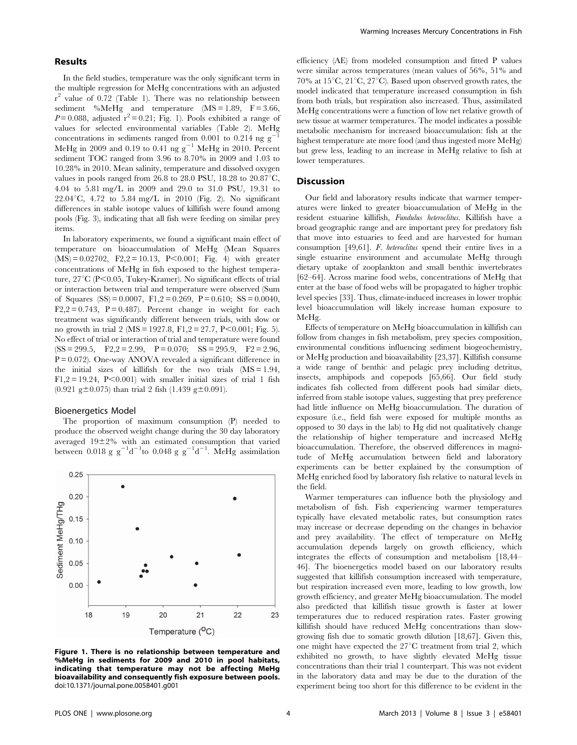#### Results

In the field studies, temperature was the only significant term in the multiple regression for MeHg concentrations with an adjusted r<sup>2</sup> value of 0.72 (Table 1). There was no relationship between sediment %MeHg and temperature  $(MS = 1.89, F = 3.66,$  $P = 0.088$ , adjusted r<sup>2</sup> = 0.21; Fig. 1). Pools exhibited a range of values for selected environmental variables (Table 2). MeHg concentrations in sediments ranged from  $0.001$  to  $0.214$  ng g<sup>-</sup> MeHg in 2009 and 0.19 to 0.41 ng  $g^{-1}$  MeHg in 2010. Percent sediment TOC ranged from 3.96 to 8.70% in 2009 and 1.03 to 10.28% in 2010. Mean salinity, temperature and dissolved oxygen values in pools ranged from  $26.8$  to  $28.0$  PSU,  $18.28$  to  $20.87^{\circ}$ C, 4.04 to 5.81 mg/L in 2009 and 29.0 to 31.0 PSU, 19.31 to  $22.04\textdegree C$ ,  $4.72$  to  $5.84 \text{ mg/L}$  in  $2010$  (Fig. 2). No significant differences in stable isotope values of killifish were found among pools (Fig. 3), indicating that all fish were feeding on similar prey items.

In laboratory experiments, we found a significant main effect of temperature on bioaccumulation of MeHg (Mean Squares  $(MS) = 0.02702$ ,  $F2,2 = 10.13$ ,  $P<0.001$ ; Fig. 4) with greater concentrations of MeHg in fish exposed to the highest temperature,  $27^{\circ}$ C (P<0.05, Tukey-Kramer). No significant effects of trial or interaction between trial and temperature were observed (Sum of Squares  $(SS) = 0.0007$ ,  $F1,2 = 0.269$ ,  $P = 0.610$ ;  $SS = 0.0040$ ,  $F2,2 = 0.743$ ,  $P = 0.487$ . Percent change in weight for each treatment was significantly different between trials, with slow or no growth in trial 2 ( $MS = 1927.8$ ,  $F1,2 = 27.7$ ,  $P < 0.001$ ; Fig. 5). No effect of trial or interaction of trial and temperature were found  $(SS = 299.5, F2, 2 = 2.99, P = 0.070; SS = 295.9, F2 = 2.96,$  $P = 0.072$ ). One-way ANOVA revealed a significant difference in the initial sizes of killifish for the two trials  $(MS = 1.94,$  $F1,2 = 19.24$ ,  $P < 0.001$  with smaller initial sizes of trial 1 fish  $(0.921 \text{ g} \pm 0.075)$  than trial 2 fish (1.439 g $\pm 0.091$ ).

#### Bioenergetics Model

The proportion of maximum consumption (P) needed to produce the observed weight change during the 30 day laboratory averaged  $19\pm2\%$  with an estimated consumption that varied between 0.018 g  $g^{-1}d^{-1}$ to 0.048 g  $g^{-1}d^{-1}$ . MeHg assimilation



Figure 1. There is no relationship between temperature and %MeHg in sediments for 2009 and 2010 in pool habitats, indicating that temperature may not be affecting MeHg bioavailability and consequently fish exposure between pools. doi:10.1371/journal.pone.0058401.g001

efficiency (AE) from modeled consumption and fitted P values were similar across temperatures (mean values of 56%, 51% and 70% at  $15^{\circ}$ C,  $21^{\circ}$ C,  $27^{\circ}$ C). Based upon observed growth rates, the model indicated that temperature increased consumption in fish from both trials, but respiration also increased. Thus, assimilated MeHg concentrations were a function of low net relative growth of new tissue at warmer temperatures. The model indicates a possible metabolic mechanism for increased bioaccumulation: fish at the highest temperature ate more food (and thus ingested more MeHg) but grew less, leading to an increase in MeHg relative to fish at lower temperatures.

#### **Discussion**

Our field and laboratory results indicate that warmer temperatures were linked to greater bioaccumulation of MeHg in the resident estuarine killifish, Fundulus heteroclitus. Killifish have a broad geographic range and are important prey for predatory fish that move into estuaries to feed and are harvested for human consumption [49,61]. F. heteroclitus spend their entire lives in a single estuarine environment and accumulate MeHg through dietary uptake of zooplankton and small benthic invertebrates [62–64]. Across marine food webs, concentrations of MeHg that enter at the base of food webs will be propagated to higher trophic level species [33]. Thus, climate-induced increases in lower trophic level bioaccumulation will likely increase human exposure to MeH<sub>g</sub>

Effects of temperature on MeHg bioaccumulation in killifish can follow from changes in fish metabolism, prey species composition, environmental conditions influencing sediment biogeochemistry, or MeHg production and bioavailability [23,37]. Killifish consume a wide range of benthic and pelagic prey including detritus, insects, amphipods and copepods [65,66]. Our field study indicates fish collected from different pools had similar diets, inferred from stable isotope values, suggesting that prey preference had little influence on MeHg bioaccumulation. The duration of exposure (i.e., field fish were exposed for multiple months as opposed to 30 days in the lab) to Hg did not qualitatively change the relationship of higher temperature and increased MeHg bioaccumulation. Therefore, the observed differences in magnitude of MeHg accumulation between field and laboratory experiments can be better explained by the consumption of MeHg enriched food by laboratory fish relative to natural levels in the field.

Warmer temperatures can influence both the physiology and metabolism of fish. Fish experiencing warmer temperatures typically have elevated metabolic rates, but consumption rates may increase or decrease depending on the changes in behavior and prey availability. The effect of temperature on MeHg accumulation depends largely on growth efficiency, which integrates the effects of consumption and metabolism [18,44– 46]. The bioenergetics model based on our laboratory results suggested that killifish consumption increased with temperature, but respiration increased even more, leading to low growth, low growth efficiency, and greater MeHg bioaccumulation. The model also predicted that killifish tissue growth is faster at lower temperatures due to reduced respiration rates. Faster growing killifish should have reduced MeHg concentrations than slowgrowing fish due to somatic growth dilution [18,67]. Given this, one might have expected the  $27^{\circ}$ C treatment from trial 2, which exhibited no growth, to have slightly elevated MeHg tissue concentrations than their trial 1 counterpart. This was not evident in the laboratory data and may be due to the duration of the experiment being too short for this difference to be evident in the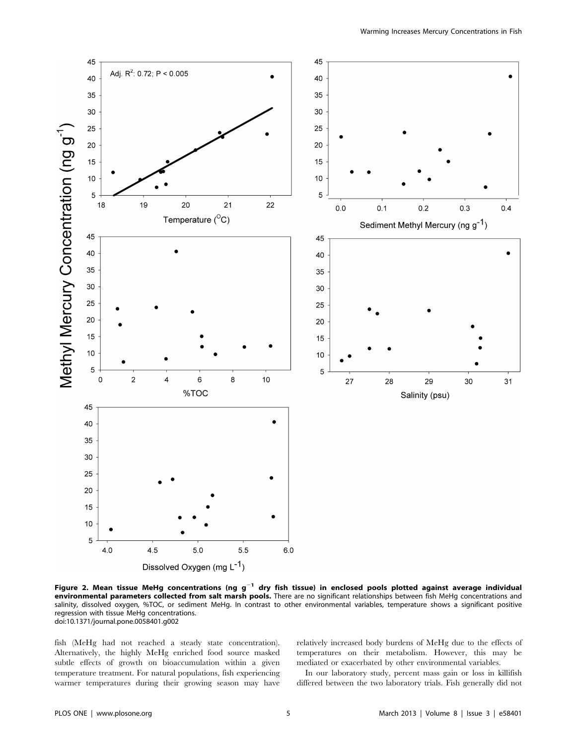

Figure 2. Mean tissue MeHg concentrations (ng  $g^{-1}$  dry fish tissue) in enclosed pools plotted against average individual environmental parameters collected from salt marsh pools. There are no significant relationships between fish MeHg concentrations and salinity, dissolved oxygen, %TOC, or sediment MeHg. In contrast to other environmental variables, temperature shows a significant positive regression with tissue MeHg concentrations. doi:10.1371/journal.pone.0058401.g002

fish (MeHg had not reached a steady state concentration). Alternatively, the highly MeHg enriched food source masked subtle effects of growth on bioaccumulation within a given temperature treatment. For natural populations, fish experiencing warmer temperatures during their growing season may have relatively increased body burdens of MeHg due to the effects of temperatures on their metabolism. However, this may be mediated or exacerbated by other environmental variables.

In our laboratory study, percent mass gain or loss in killifish differed between the two laboratory trials. Fish generally did not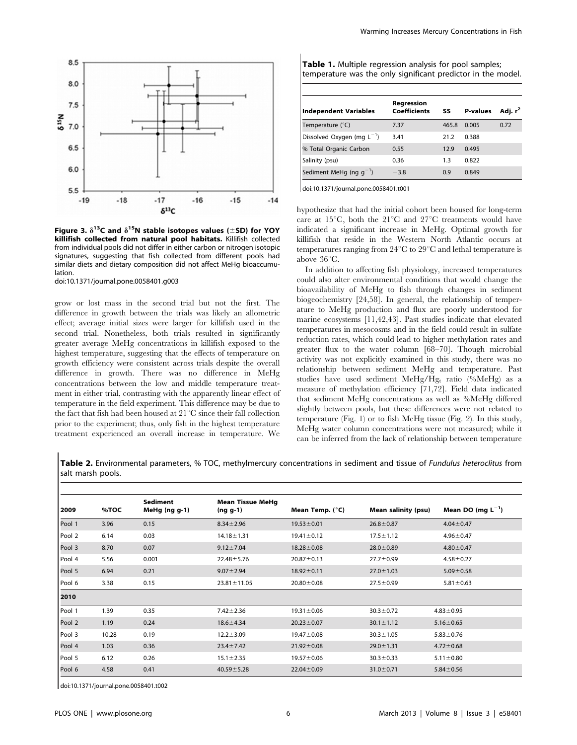

Figure 3.  $\delta^{13}$ C and  $\delta^{15}$ N stable isotopes values ( $\pm$ SD) for YOY killifish collected from natural pool habitats. Killifish collected from individual pools did not differ in either carbon or nitrogen isotopic signatures, suggesting that fish collected from different pools had similar diets and dietary composition did not affect MeHg bioaccumulation.

doi:10.1371/journal.pone.0058401.g003

grow or lost mass in the second trial but not the first. The difference in growth between the trials was likely an allometric effect; average initial sizes were larger for killifish used in the second trial. Nonetheless, both trials resulted in significantly greater average MeHg concentrations in killifish exposed to the highest temperature, suggesting that the effects of temperature on growth efficiency were consistent across trials despite the overall difference in growth. There was no difference in MeHg concentrations between the low and middle temperature treatment in either trial, contrasting with the apparently linear effect of temperature in the field experiment. This difference may be due to the fact that fish had been housed at  $21^{\circ}$ C since their fall collection prior to the experiment; thus, only fish in the highest temperature treatment experienced an overall increase in temperature. We

Table 1. Multiple regression analysis for pool samples; temperature was the only significant predictor in the model.

| <b>Independent Variables</b>    | Regression<br><b>Coefficients</b> | SS    | <b>P-values</b> | Adi. $r^2$ |
|---------------------------------|-----------------------------------|-------|-----------------|------------|
| Temperature (°C)                | 7.37                              | 465.8 | 0.005           | 0.72       |
| Dissolved Oxygen (mg $L^{-1}$ ) | 3.41                              | 21.2  | 0.388           |            |
| % Total Organic Carbon          | 0.55                              | 12.9  | 0.495           |            |
| Salinity (psu)                  | 0.36                              | 1.3   | 0.822           |            |
| Sediment MeHg (ng $q^{-1}$ )    | $-3.8$                            | 0.9   | 0.849           |            |

doi:10.1371/journal.pone.0058401.t001

hypothesize that had the initial cohort been housed for long-term care at  $15^{\circ}$ C, both the  $21^{\circ}$ C and  $27^{\circ}$ C treatments would have indicated a significant increase in MeHg. Optimal growth for killifish that reside in the Western North Atlantic occurs at temperatures ranging from  $24^{\circ}$ C to  $29^{\circ}$ C and lethal temperature is above  $36^{\circ}$ C.

In addition to affecting fish physiology, increased temperatures could also alter environmental conditions that would change the bioavailability of MeHg to fish through changes in sediment biogeochemistry [24,58]. In general, the relationship of temperature to MeHg production and flux are poorly understood for marine ecosystems [11,42,43]. Past studies indicate that elevated temperatures in mesocosms and in the field could result in sulfate reduction rates, which could lead to higher methylation rates and greater flux to the water column [68–70]. Though microbial activity was not explicitly examined in this study, there was no relationship between sediment MeHg and temperature. Past studies have used sediment  $MeHg/Hg_t$  ratio (%MeHg) as a measure of methylation efficiency [71,72]. Field data indicated that sediment MeHg concentrations as well as %MeHg differed slightly between pools, but these differences were not related to temperature (Fig. 1) or to fish MeHg tissue (Fig. 2). In this study, MeHg water column concentrations were not measured; while it can be inferred from the lack of relationship between temperature

Table 2. Environmental parameters, % TOC, methylmercury concentrations in sediment and tissue of Fundulus heteroclitus from salt marsh pools.

| 2009   | %TOC  | <b>Sediment</b><br>MeHg (ng g-1) | <b>Mean Tissue MeHg</b><br>(ng g-1) | Mean Temp. (°C)  | <b>Mean salinity (psu)</b> | Mean DO $(mg L^{-1})$ |
|--------|-------|----------------------------------|-------------------------------------|------------------|----------------------------|-----------------------|
| Pool 1 | 3.96  | 0.15                             | $8.34 \pm 2.96$                     | $19.53 \pm 0.01$ | $26.8 \pm 0.87$            | $4.04 \pm 0.47$       |
| Pool 2 | 6.14  | 0.03                             | $14.18 \pm 1.31$                    | $19.41 \pm 0.12$ | $17.5 \pm 1.12$            | $4.96 \pm 0.47$       |
| Pool 3 | 8.70  | 0.07                             | $9.12 \pm 7.04$                     | $18.28 \pm 0.08$ | $28.0 \pm 0.89$            | $4.80 \pm 0.47$       |
| Pool 4 | 5.56  | 0.001                            | $22.48 \pm 5.76$                    | $20.87 \pm 0.13$ | $27.7 \pm 0.99$            | $4.58 \pm 0.27$       |
| Pool 5 | 6.94  | 0.21                             | $9.07 \pm 2.94$                     | $18.92 \pm 0.11$ | $27.0 \pm 1.03$            | $5.09 \pm 0.58$       |
| Pool 6 | 3.38  | 0.15                             | $23.81 \pm 11.05$                   | $20.80 \pm 0.08$ | $27.5 \pm 0.99$            | $5.81 \pm 0.63$       |
| 2010   |       |                                  |                                     |                  |                            |                       |
| Pool 1 | 1.39  | 0.35                             | $7.42 \pm 2.36$                     | $19.31 \pm 0.06$ | $30.3 \pm 0.72$            | $4.83 \pm 0.95$       |
| Pool 2 | 1.19  | 0.24                             | $18.6 \pm 4.34$                     | $20.23 \pm 0.07$ | $30.1 \pm 1.12$            | $5.16 \pm 0.65$       |
| Pool 3 | 10.28 | 0.19                             | $12.2 \pm 3.09$                     | $19.47 \pm 0.08$ | $30.3 \pm 1.05$            | $5.83 \pm 0.76$       |
| Pool 4 | 1.03  | 0.36                             | $23.4 \pm 7.42$                     | $21.92 \pm 0.08$ | $29.0 \pm 1.31$            | $4.72 \pm 0.68$       |
| Pool 5 | 6.12  | 0.26                             | $15.1 \pm 2.35$                     | $19.57 \pm 0.06$ | $30.3 \pm 0.33$            | $5.11 \pm 0.80$       |
| Pool 6 | 4.58  | 0.41                             | $40.59 \pm 5.28$                    | $22.04 \pm 0.09$ | $31.0 \pm 0.71$            | $5.84 \pm 0.56$       |

doi:10.1371/journal.pone.0058401.t002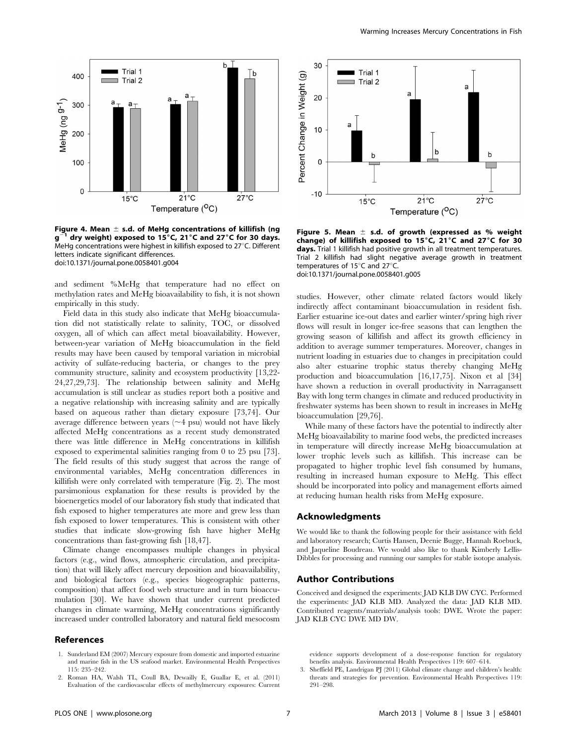

Figure 4. Mean  $\pm$  s.d. of MeHg concentrations of killifish (ng dry weight) exposed to 15 $^{\circ}$ C, 21 $^{\circ}$ C and 27 $^{\circ}$ C for 30 days. MeHg concentrations were highest in killifish exposed to 27 $\degree$ C. Different letters indicate significant differences. doi:10.1371/journal.pone.0058401.g004

and sediment %MeHg that temperature had no effect on methylation rates and MeHg bioavailability to fish, it is not shown empirically in this study.

Field data in this study also indicate that MeHg bioaccumulation did not statistically relate to salinity, TOC, or dissolved oxygen, all of which can affect metal bioavailability. However, between-year variation of MeHg bioaccumulation in the field results may have been caused by temporal variation in microbial activity of sulfate-reducing bacteria, or changes to the prey community structure, salinity and ecosystem productivity [13,22- 24,27,29,73]. The relationship between salinity and MeHg accumulation is still unclear as studies report both a positive and a negative relationship with increasing salinity and are typically based on aqueous rather than dietary exposure [73,74]. Our average difference between years  $(\sim 4$  psu) would not have likely affected MeHg concentrations as a recent study demonstrated there was little difference in MeHg concentrations in killifish exposed to experimental salinities ranging from 0 to 25 psu [73]. The field results of this study suggest that across the range of environmental variables, MeHg concentration differences in killifish were only correlated with temperature (Fig. 2). The most parsimonious explanation for these results is provided by the bioenergetics model of our laboratory fish study that indicated that fish exposed to higher temperatures ate more and grew less than fish exposed to lower temperatures. This is consistent with other studies that indicate slow-growing fish have higher MeHg concentrations than fast-growing fish [18,47].

Climate change encompasses multiple changes in physical factors (e.g., wind flows, atmospheric circulation, and precipitation) that will likely affect mercury deposition and bioavailability, and biological factors (e.g., species biogeographic patterns, composition) that affect food web structure and in turn bioaccumulation [30]. We have shown that under current predicted changes in climate warming, MeHg concentrations significantly increased under controlled laboratory and natural field mesocosm

#### References

- 1. Sunderland EM (2007) Mercury exposure from domestic and imported estuarine and marine fish in the US seafood market. Environmental Health Perspectives 115: 235–242.
- 2. Roman HA, Walsh TL, Coull BA, Dewailly E, Guallar E, et al. (2011) Evaluation of the cardiovascular effects of methylmercury exposures: Current



Figure 5. Mean  $\pm$  s.d. of growth (expressed as % weight change) of killifish exposed to  $15^{\circ}$ C, 21 $^{\circ}$ C and 27 $^{\circ}$ C for 30 days. Trial 1 killifish had positive growth in all treatment temperatures. Trial 2 killifish had slight negative average growth in treatment temperatures of 15 $°C$  and 27 $°C$ . doi:10.1371/journal.pone.0058401.g005

studies. However, other climate related factors would likely indirectly affect contaminant bioaccumulation in resident fish. Earlier estuarine ice-out dates and earlier winter/spring high river flows will result in longer ice-free seasons that can lengthen the growing season of killifish and affect its growth efficiency in addition to average summer temperatures. Moreover, changes in nutrient loading in estuaries due to changes in precipitation could also alter estuarine trophic status thereby changing MeHg production and bioaccumulation [16,17,75]. Nixon et al [34] have shown a reduction in overall productivity in Narragansett Bay with long term changes in climate and reduced productivity in freshwater systems has been shown to result in increases in MeHg bioaccumulation [29,76].

While many of these factors have the potential to indirectly alter MeHg bioavailability to marine food webs, the predicted increases in temperature will directly increase MeHg bioaccumulation at lower trophic levels such as killifish. This increase can be propagated to higher trophic level fish consumed by humans, resulting in increased human exposure to MeHg. This effect should be incorporated into policy and management efforts aimed at reducing human health risks from MeHg exposure.

#### Acknowledgments

We would like to thank the following people for their assistance with field and laboratory research; Curtis Hansen, Deenie Bugge, Hannah Roebuck, and Jaqueline Boudreau. We would also like to thank Kimberly Lellis-Dibbles for processing and running our samples for stable isotope analysis.

#### Author Contributions

Conceived and designed the experiments: JAD KLB DW CYC. Performed the experiments: JAD KLB MD. Analyzed the data: JAD KLB MD. Contributed reagents/materials/analysis tools: DWE. Wrote the paper: JAD KLB CYC DWE MD DW.

evidence supports development of a dose-response function for regulatory benefits analysis. Environmental Health Perspectives 119: 607–614.

<sup>3.</sup> Sheffield PE, Landrigan PJ (2011) Global climate change and children's health: threats and strategies for prevention. Environmental Health Perspectives 119: 291–298.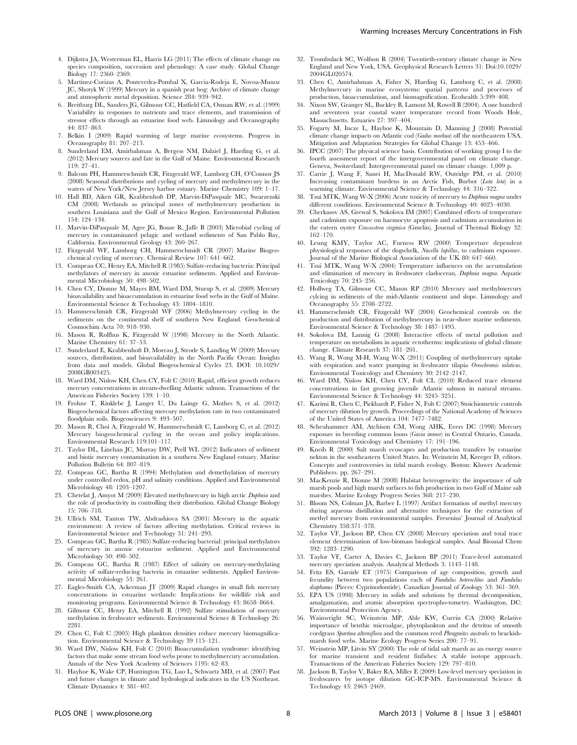- 4. Dijkstra JA, Westerman EL, Harris LG (2011) The effects of climate change on species composition, succession and phenology: A case study. Global Change Biology 17: 2360–2369.
- 5. Martinez-Corizas A, Pontevedra-Pombal X, Garcia-Rodeja E, Novoa-Munoz JC, Shotyk W (1999) Mercury in a spanish peat bog: Archive of climate change and atmospheric metal deposition. Science 284: 939–942.
- 6. Breitburg DL, Sanders JG, Gilmour CC, Hatfield CA, Osman RW, et al. (1999) Variability in responses to nutrients and trace elements, and transmission of stressor effects through an estuarine food web. Limnology and Oceanography 44: 837–863.
- 7. Belkin I (2009) Rapid warming of large marine ecosystems. Progress in Oceanography 81: 207–213.
- 8. Sunderland EM, Amirbahman A, Bergess NM, Dalziel J, Harding G, et al. (2012) Mercury sources and fate in the Gulf of Maine. Environmental Research 119: 27–41.
- 9. Balcom PH, Hammerschmidt CR, Fitzgerald WF, Lamborg CH, O'Connor JS (2008) Seasonal distributions and cycling of mercury and methylmercury in the waters of New York/New Jersey harbor estuary. Marine Chemistry 109: 1–17.
- 10. Hall BD, Aiken GR, Krabbenhoft DP, Marvin-DiPasquale MC, Swarzenski CM (2008) Wetlands as principal zones of methylmercury production in southern Louisiana and the Gulf of Mexico Region. Environmental Pollution 154: 124–134.
- 11. Marvin-DiPasquale M, Agee JG, Bouse R, Jaffe B (2003) Microbial cycling of mercury in contaminated pelagic and wetland sediments of San Pablo Bay, California. Environmental Geology 43: 260–267.
- 12. Fitzgerald WF, Lamborg CH, Hammerschmidt CR (2007) Marine Biogeochemical cycling of mercury. Chemical Review 107: 641–662.
- 13. Compeau CC, Henry EA, Mitchell R (1985) Sulfate-reducing bacteria: Principal methylators of mercury in anoxic estuarine sediments. Applied and Environmental Microbiology 50: 498–502.
- 14. Chen CY, Dionne M, Mayes BM, Ward DM, Sturup S, et al. (2009) Mercury bioavailability and bioaccumulation in estuarine food webs in the Gulf of Maine. Environmental Science & Technology 43: 1804–1810.
- 15. Hammerschmidt CR, Firzgerald WF (2006) Methylmercury cycling in the sediments on the continental shelf of southern New England. Geochemical Cosmochim Acta 70: 918–930.
- 16. Mason R, Rolfhus K, Fitzgerald W (1998) Mercury in the North Atlantic. Marine Chemistry 61: 37–53.
- 17. Sunderland E, Krabbenhoft D, Moreau J, Strode S, Landing W (2009) Mercury sources, distribution, and bioavailability in the North Pacific Ocean: Insights from data and models. Global Biogeochemical Cycles 23. DOI: 10.1029/ 2008GB003425.
- 18. Ward DM, Nislow KH, Chen CY, Folt C (2010) Rapid, efficient growth reduces mercury concentrations in stream-dwelling Atlantic salmon. Transactions of the American Fisheries Society 139: 1–10.
- 19. Frohne T, Rinklebe J, Langer U, Du Lainge G, Mothes S, et al. (2012) Biogeochemical factors affecting mercury methylation rate in two contaminated floodplain soils. Biogeosciences 9: 493–507.
- 20. Mason R, Choi A, Fitzgerald W, Hammerschmidt C, Lamborg C, et al. (2012) Mercury biogeochemical cycling in the ocean and policy implications. Environmental Research 119:101–117.
- 21. Taylor DL, Linehan JC, Murray DW, Prell WL (2012) Indicators of sediment and biotic mercury contamination in a southern New England estuary. Marine Pollution Bulletin 64: 807–819.
- 22. Compeau GC, Bartha R (1994) Methylation and demethylation of mercury under controlled redox, pH and salinity conditions. Applied and Environmental Microbiology 48: 1203–1207.
- 23. Chetelat J, Amyot M (2009) Elevated methylmercury in high arctic Daphnia and the role of productivity in controlling their distribution. Global Change Biology 15: 706–718.
- 24. Ullrich SM, Tanton TW, Abdrashiova SA (2001) Mercury in the aquatic environment: A review of factors affecting methylation. Critical reviews in Environmental Science and Technology 31: 241–293.
- 25. Compeau GC, Bartha R (1985) Sulfate-reducing bacterial: principal methylators of mercury in anoxic estuarine sediment. Applied and Environmental Microbiology 50: 498–502.
- 26. Compeau GC, Bartha R (1987) Effect of salinity on mercury-methylating activity of sulfate-reducing bacteria in estuarine sediments. Applied Environmental Microbiology 53: 261.
- 27. Eagles-Smith CA, Ackerman JT (2009) Rapid changes in small fish mercury concentrations in estuarine wetlands: Implications for wildlife risk and monitoring programs. Environmental Science & Technology 43: 8658–8664.
- 28. Gilmour CC, Henry EA, Mitchell R (1992) Sulfate stimulation of mercury methylation in freshwater sediments. Environmental Science & Technology 26: 2281.
- 29. Chen C, Folt C (2005) High plankton densities reduce mercury biomagnification. Environmental Science & Technology 39 115–121.
- 30. Ward DW, Nislow KH, Folt C (2010) Bioaccumulation syndrome: identifying factors that make some stream food webs prone to methylmercury accumulation. Annals of the New York Academy of Sciences 1195: 62–83.
- 31. Hayhoe K, Wake CP, Huntington TG, Luo L, Schwartz MD, et al. (2007) Past and future changes in climate and hydrological indicators in the US Northeast. Climate Dynamics 4: 381–407.

Warming Increases Mercury Concentrations in Fish

- 32. Trombulack SC, Wolfson R (2004) Twentieth-century climate change in New England and New York, USA. Geophysical Research Letters 31: Doi:10.1029/ 2004GL020574.
- 33. Chen C, Amirbahman A, Fisher N, Harding G, Lamborg C, et al. (2008) Methylmercury in marine ecosystems: spatial patterns and processes of production, bioaccumulation, and biomagnification. Ecohealth 5:399–408.
- 34. Nixon SW, Granger SL, Buckley B, Lamont M, Rowell B (2004). A one hundred and seventeen year coastal water temperature record from Woods Hole, Massachusetts. Estuaries 27: 397–404.
- 35. Fogarty M, Incze L, Hayhoe K, Mountain D, Manning J (2008) Potential climate change impacts on Atlantic cod (Gadus morhua) off the northeastern USA. Mitigation and Adaptation Strategies for Global Change 13: 453–466.
- 36. IPCC (2007) The physical science basis. Contribution of working group I to the fourth assessment report of the intergovernmental panel on climate change. Geneva, Switzerland: Intergovernmental panel on climate change. 1,009 p.
- 37. Carrie J, Wang F, Sanei H, MacDonald RW, Outridge PM, et al. (2010) Increasing contaminant burdens in an Arctic Fish, Burbot (Lota lota) in a warming climate. Environmental Science & Technology 44: 316–322.
- 38. Tsui MTK, Wang W-X (2006) Acute toxicity of mercury to Daphnia magna under different conditions. Environmental Science & Technology 40: 4025–4030.
- 39. Cherkasov AS, Grewal S, Sokolova IM (2007) Combined effects of temperature and cadmium exposure on haemocyte apoptosis and cadmium accumulation in the eatern oyster Crassostrea virginica (Gmelin). Journal of Thermal Biology 32: 162–170.
- 40. Leung KMY, Taylor AC, Furness RW (2000) Temperture dependent physiological responses of the dogwhelk, Nucella lapillus, to cadmium exposure. Journal of the Marine Biological Association of the UK 80: 647–660.
- 41. Tsui MTK, Wang W-X (2004) Temperature influences on the accumulation and elimination of mercury in freshwater cladoceran, Daphnia magna. Aquatic Toxicology 70: 245–256.
- 42. Hollweg TA, Gilmour CC, Mason RP (2010) Mercury and methylmercury cylcing in sediments of the mid-Atlantic continent and slope. Limnology and Oceanography 55: 2708–2722.
- 43. Hammerschmidt CR, Fitzgerald WF (2004) Geochemical controls on the production and distribution of methylmercury in near-shore marine sediments. Environmental Science & Technology 38: 1487–1495.
- 44. Sokolova IM, Lannig G (2008) Interactive effects of metal pollution and temperature on metabolism in aquatic ectotherms: implications of global climate change. Climate Research 37: 181–201.
- 45. Wang R, Wong M-H, Wang W-X (2011) Coupling of methylmercury uptake with respiration and water pumping in freshwater tilapia Oreochromis mloticus. Environmental Toxicology and Chemistry 30: 2142–2147.
- 46. Ward DM, Nislow KH, Chen CY, Folt CL (2010) Reduced trace element concentrations in fast growing juvenile Atlantic salmon in natural streams. Environmental Science & Technology 44: 3245–3251.
- 47. Karimi R, Chen C, Pickhardt P, Fisher N, Folt C (2007) Stoichiometric controls of mercury dilution by growth. Proceedings of the National Academy of Sciences of the United States of America 104: 7477–7482.
- 48. Scheuhammer AM, Atchison CM, Wong AHK, Evers DC (1998) Mercury exposure in breeding common loons (Gavia immer) in Central Ontario, Canada. Environmental Toxicology and Chemistry 17: 191–196.
- 49. Kneib R (2000) Salt marsh ecoscapes and production transfers by estuarine nekton in the southeastern United States. In: Weinstein M, Kreeger D, editors. Concepts and controversies in tidal marsh ecology. Boston: Kluwer Academic Publishers. pp. 267–291.
- 50. MacKenzie R, Dionne M (2008) Habitat heterogeneity: the importance of salt marsh pools and high marsh surfaces to fish production in two Gulf of Maine salt marshes. Marine Ecology Progress Series 368: 217–230.
- 51. Bloom NS, Colman JA, Barber L (1997) Artifact formation of methyl mercury during aqueous distillation and alternative techniques for the extraction of methyl mercury from environmental samples. Fresenius' Journal of Analytical Chemistry 358:371–378.
- 52. Taylor VF, Jackson BP, Chen CY (2008) Mercury speciation and total trace element determination of low-biomass biological samples. Anal Bioanal Chem 392: 1283–1290.
- 53. Taylor VF, Carter A, Davies C, Jackson BP (2011) Trace-level automated mercury speciation analysis. Analytical Methods 3: 1143–1148.
- 54. Fritz ES, Garside ET (1975) Comparison of age composition, growth and fecundity between two populations each of Fundulus heteroclitus and Fundulus diaphanus (Pieces: Cyprinodontide). Canadian Journal of Zoology 53: 361–369.
- 55. EPA US (1998) Mercury in solids and solutions by thermal decomposition, amalgamation, and atomic absorption spectropho-tometry. Washington, DC: Environmental Protection Agency.
- 56. Wainwright SC, Weinstein MP, Able KW, Currin CA (2000) Relative importance of benthic microalgae, phytoplankton and the detritus of smooth cordgrass Spartina alterniflora and the common reed Phragmites australis to brackishmarsh food webs. Marine Ecology Progress Series 200: 77–91.
- 57. Weinstein MP, Litvin SY (2000) The role of tidal salt marsh as an energy source for marine transient and resident finfishes: A stable isotope approach. Transactions of the American Fisheries Society 129: 797–810.
- 58. Jackson B, Taylor V, Baker RA, Miller E (2009) Low-level mercury speciation in freshwaters by isotope dilution GC-ICP-MS. Environmental Science & Technology 43: 2463–2469.